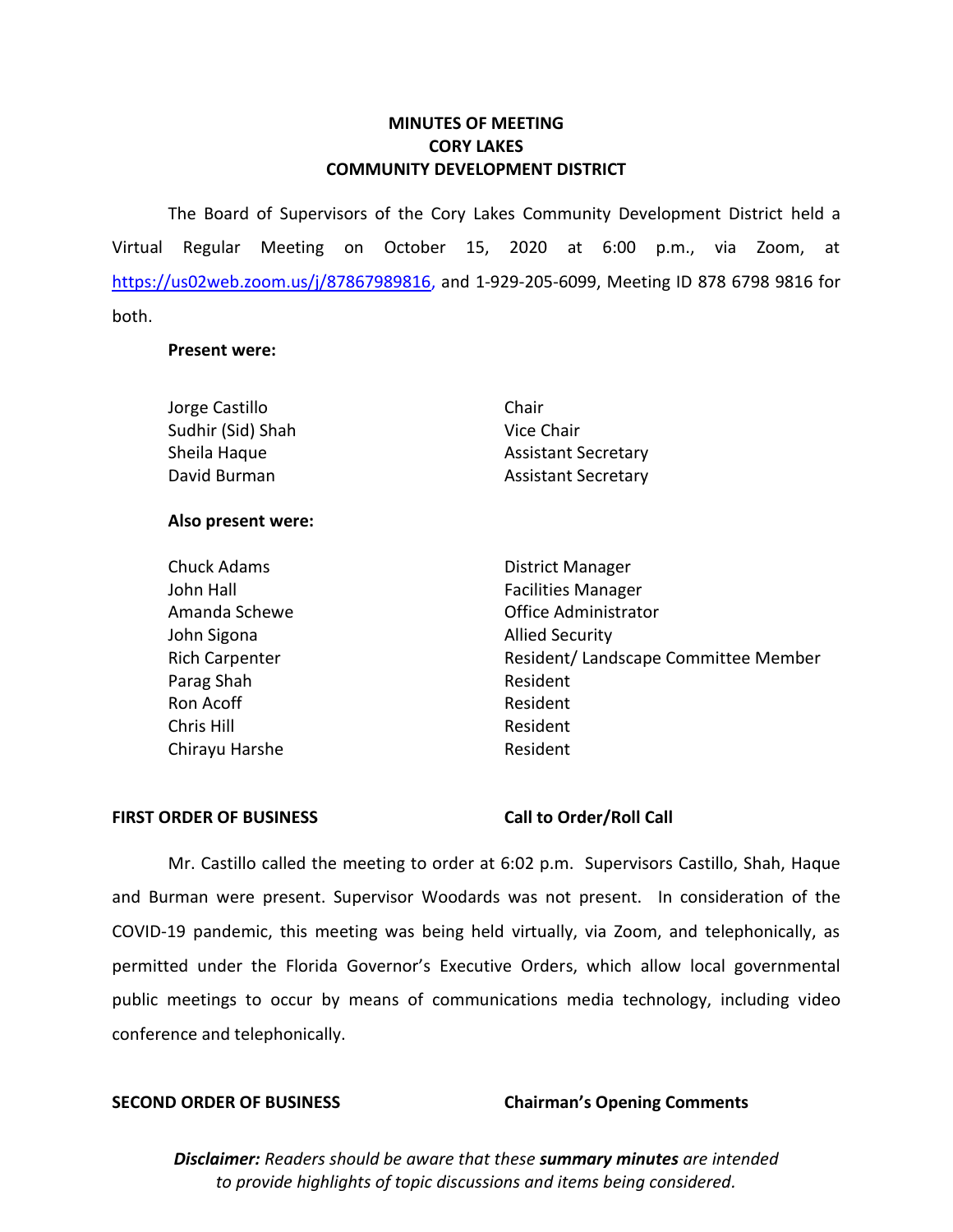# **MINUTES OF MEETING CORY LAKES COMMUNITY DEVELOPMENT DISTRICT**

 The Board of Supervisors of the Cory Lakes Community Development District held a Virtual Regular Meeting on October 15, 2020 at 6:00 p.m., via Zoom, at [https://us02web.zoom.us/j/87867989816,](https://us02web.zoom.us/j/87867989816) and 1-929-205-6099, Meeting ID 878 6798 9816 for both.

### **Present were:**

| Jorge Castillo     | Chair                      |
|--------------------|----------------------------|
| Sudhir (Sid) Shah  | Vice Chair                 |
| Sheila Haque       | <b>Assistant Secretary</b> |
| David Burman       | <b>Assistant Secretary</b> |
| Also present were: |                            |

# Chuck Adams **District Manager** John Hall **Facilities Manager** Amanda Schewe **Contract Contract Contract Contract Contract Contract Contract Contract Contract Contract Contract Contract Contract Contract Contract Contract Contract Contract Contract Contract Contract Contract Contract** John Sigona **Allied Security** Rich Carpenter **Rich Carpenter** Resident/ Landscape Committee Member Parag Shah Resident Ron Acoff **Resident** Chris Hill Resident Chirayu Harshe **Resident**

### **FIRST ORDER OF BUSINESS Call to Order/Roll Call**

 Mr. Castillo called the meeting to order at 6:02 p.m. Supervisors Castillo, Shah, Haque and Burman were present. Supervisor Woodards was not present. In consideration of the COVID-19 pandemic, this meeting was being held virtually, via Zoom, and telephonically, as permitted under the Florida Governor's Executive Orders, which allow local governmental public meetings to occur by means of communications media technology, including video conference and telephonically.

### **SECOND ORDER OF BUSINESS Chairman's Opening Comments**

 *to provide highlights of topic discussions and items being considered. Disclaimer: Readers should be aware that these summary minutes are intended*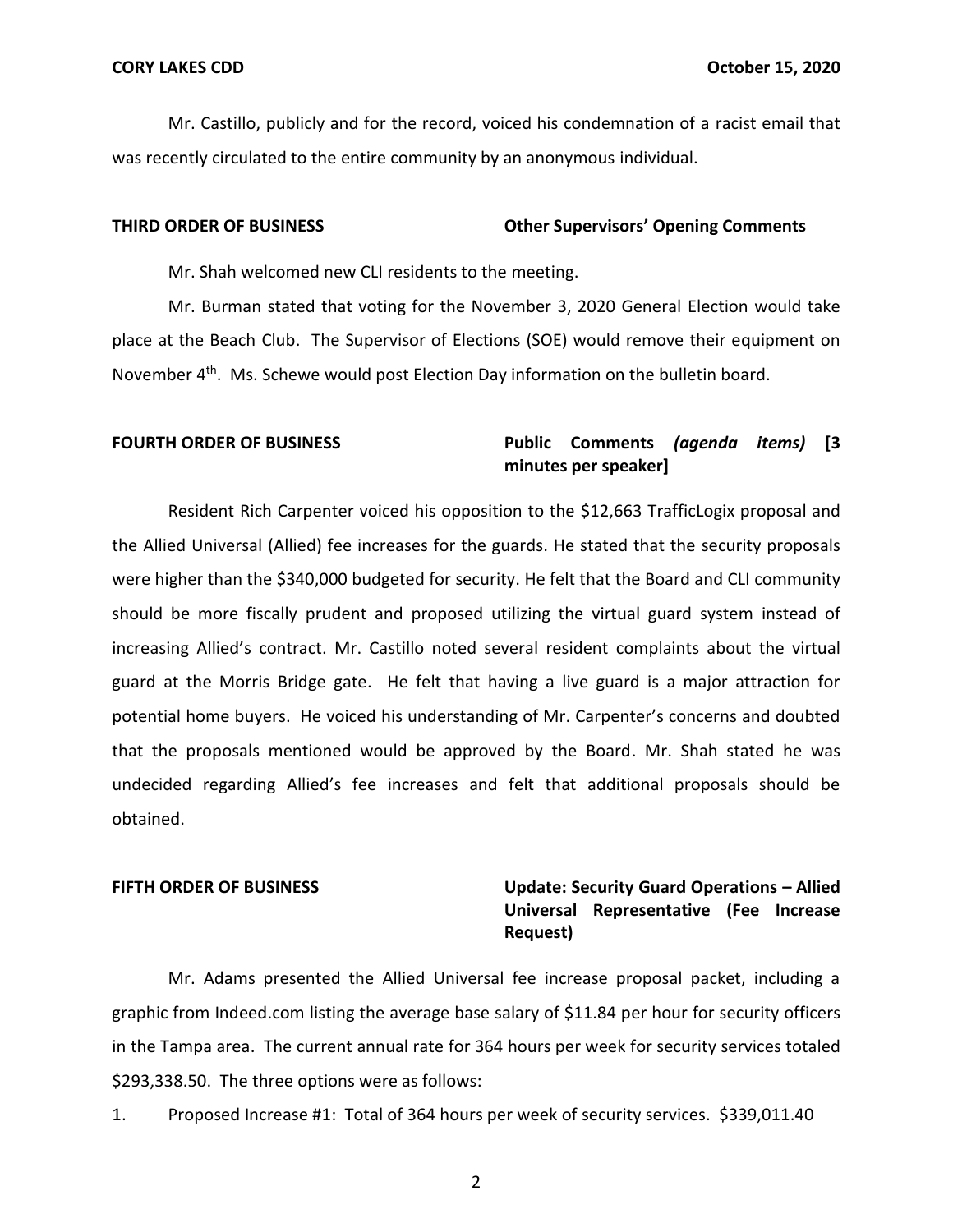Mr. Castillo, publicly and for the record, voiced his condemnation of a racist email that was recently circulated to the entire community by an anonymous individual.

### **THIRD ORDER OF BUSINESS Other Supervisors' Opening Comments**

Mr. Shah welcomed new CLI residents to the meeting.

 Mr. Burman stated that voting for the November 3, 2020 General Election would take place at the Beach Club. The Supervisor of Elections (SOE) would remove their equipment on November 4<sup>th</sup>. Ms. Schewe would post Election Day information on the bulletin board.

### **FOURTH ORDER OF BUSINESS Public Comments** *(agenda items)* **[3 minutes per speaker]**

 Resident Rich Carpenter voiced his opposition to the \$12,663 TrafficLogix proposal and the Allied Universal (Allied) fee increases for the guards. He stated that the security proposals were higher than the \$340,000 budgeted for security. He felt that the Board and CLI community should be more fiscally prudent and proposed utilizing the virtual guard system instead of guard at the Morris Bridge gate. He felt that having a live guard is a major attraction for potential home buyers. He voiced his understanding of Mr. Carpenter's concerns and doubted that the proposals mentioned would be approved by the Board. Mr. Shah stated he was undecided regarding Allied's fee increases and felt that additional proposals should be increasing Allied's contract. Mr. Castillo noted several resident complaints about the virtual obtained.

### **FIFTH ORDER OF BUSINESS**

# **FIFTH ORDER OF BUSINESS Update: Security Guard Operations – Allied Universal Representative (Fee Increase Request)**

 Mr. Adams presented the Allied Universal fee increase proposal packet, including a graphic from [Indeed.com](https://Indeed.com) listing the average base salary of \$11.84 per hour for security officers in the Tampa area. The current annual rate for 364 hours per week for security services totaled [\\$293,338.50.](https://293,338.50) The three options were as follows:

1. Proposed Increase #1: Total of 364 hours per week of security services. [\\$339,011.40](https://339,011.40)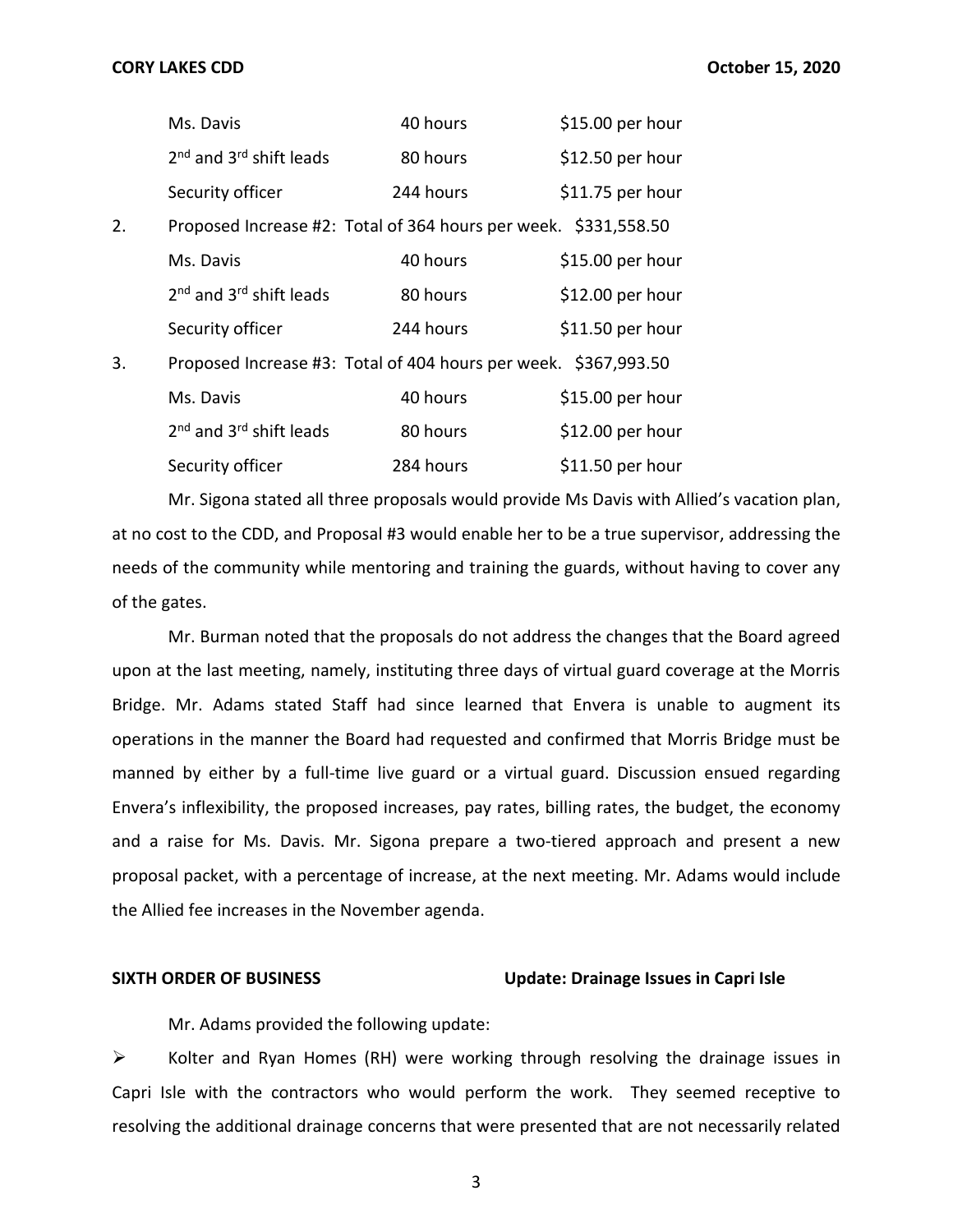|                                                                       | Ms. Davis                                                       | 40 hours  | \$15.00 per hour |
|-----------------------------------------------------------------------|-----------------------------------------------------------------|-----------|------------------|
|                                                                       | 2 <sup>nd</sup> and 3 <sup>rd</sup> shift leads                 | 80 hours  | \$12.50 per hour |
|                                                                       | Security officer                                                | 244 hours | \$11.75 per hour |
| 2.                                                                    | Proposed Increase #2: Total of 364 hours per week. \$331,558.50 |           |                  |
|                                                                       | Ms. Davis                                                       | 40 hours  | \$15.00 per hour |
|                                                                       | $2nd$ and $3rd$ shift leads                                     | 80 hours  | \$12.00 per hour |
|                                                                       | Security officer                                                | 244 hours | \$11.50 per hour |
| Proposed Increase #3: Total of 404 hours per week. \$367,993.50<br>3. |                                                                 |           |                  |
|                                                                       | Ms. Davis                                                       | 40 hours  | \$15.00 per hour |
|                                                                       | $2nd$ and $3rd$ shift leads                                     | 80 hours  | \$12.00 per hour |
|                                                                       | Security officer                                                | 284 hours | \$11.50 per hour |

 at no cost to the CDD, and Proposal #3 would enable her to be a true supervisor, addressing the needs of the community while mentoring and training the guards, without having to cover any of the gates. Mr. Sigona stated all three proposals would provide Ms Davis with Allied's vacation plan,

 Mr. Burman noted that the proposals do not address the changes that the Board agreed upon at the last meeting, namely, instituting three days of virtual guard coverage at the Morris Bridge. Mr. Adams stated Staff had since learned that Envera is unable to augment its operations in the manner the Board had requested and confirmed that Morris Bridge must be manned by either by a full-time live guard or a virtual guard. Discussion ensued regarding Envera's inflexibility, the proposed increases, pay rates, billing rates, the budget, the economy and a raise for Ms. Davis. Mr. Sigona prepare a two-tiered approach and present a new proposal packet, with a percentage of increase, at the next meeting. Mr. Adams would include the Allied fee increases in the November agenda.

### **SIXTH ORDER OF BUSINESS Update: Drainage Issues in Capri Isle**

Mr. Adams provided the following update:

 ➢ Kolter and Ryan Homes (RH) were working through resolving the drainage issues in resolving the additional drainage concerns that were presented that are not necessarily related Capri Isle with the contractors who would perform the work. They seemed receptive to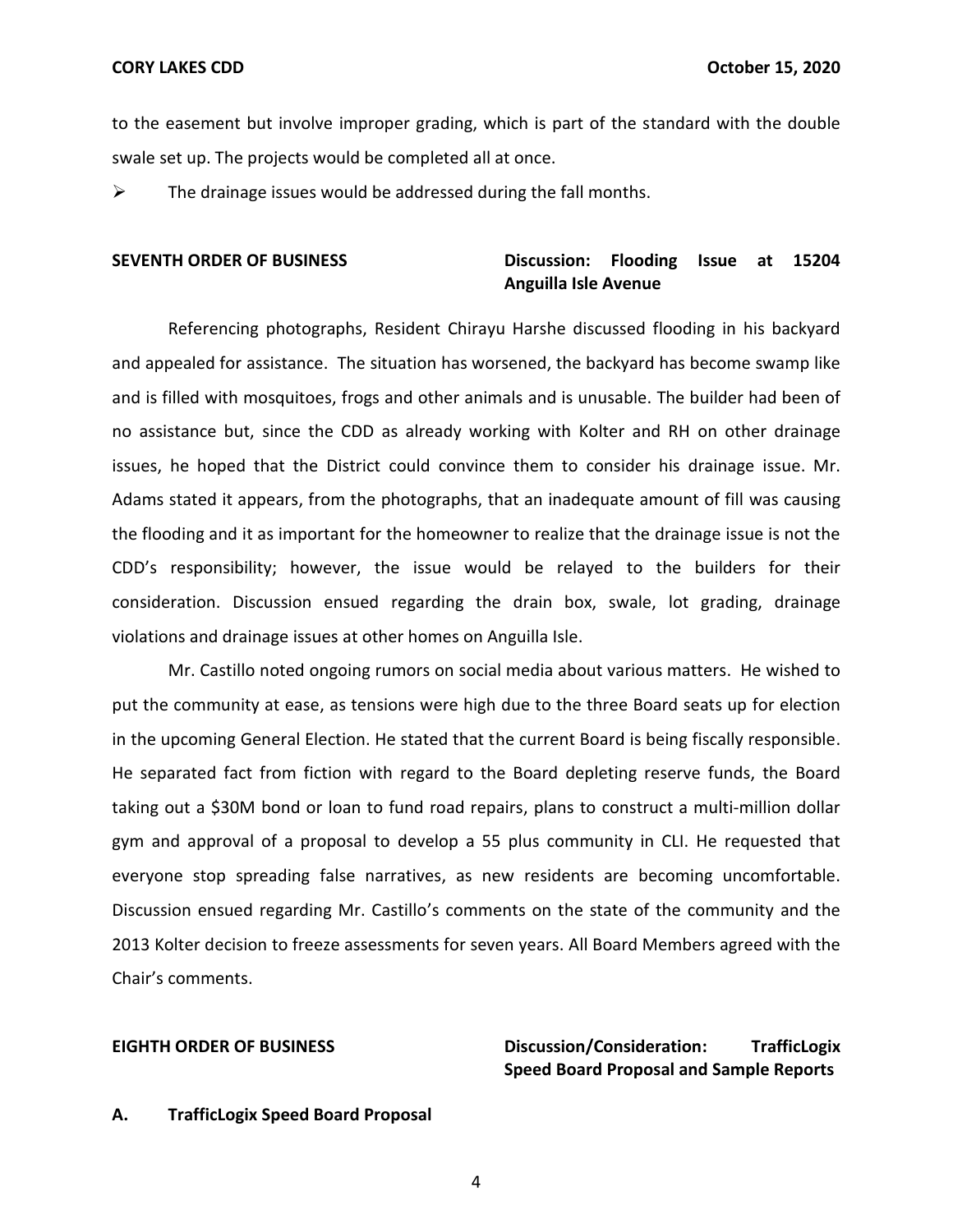to the easement but involve improper grading, which is part of the standard with the double swale set up. The projects would be completed all at once.

 $\triangleright$  The drainage issues would be addressed during the fall months.

# SEVENTH ORDER OF BUSINESS **Discussion:** Flooding Issue at 15204  **Anguilla Isle Avenue**

 Referencing photographs, Resident Chirayu Harshe discussed flooding in his backyard and appealed for assistance. The situation has worsened, the backyard has become swamp like and is filled with mosquitoes, frogs and other animals and is unusable. The builder had been of no assistance but, since the CDD as already working with Kolter and RH on other drainage Adams stated it appears, from the photographs, that an inadequate amount of fill was causing the flooding and it as important for the homeowner to realize that the drainage issue is not the consideration. Discussion ensued regarding the drain box, swale, lot grading, drainage violations and drainage issues at other homes on Anguilla Isle. issues, he hoped that the District could convince them to consider his drainage issue. Mr. CDD's responsibility; however, the issue would be relayed to the builders for their

 Mr. Castillo noted ongoing rumors on social media about various matters. He wished to put the community at ease, as tensions were high due to the three Board seats up for election in the upcoming General Election. He stated that the current Board is being fiscally responsible. He separated fact from fiction with regard to the Board depleting reserve funds, the Board taking out a \$30M bond or loan to fund road repairs, plans to construct a multi-million dollar gym and approval of a proposal to develop a 55 plus community in CLI. He requested that Discussion ensued regarding Mr. Castillo's comments on the state of the community and the 2013 Kolter decision to freeze assessments for seven years. All Board Members agreed with the everyone stop spreading false narratives, as new residents are becoming uncomfortable. Chair's comments.

# **Speed Board Proposal and Sample Reports EIGHTH ORDER OF BUSINESS Discussion/Consideration: TrafficLogix**

### **A. TrafficLogix Speed Board Proposal**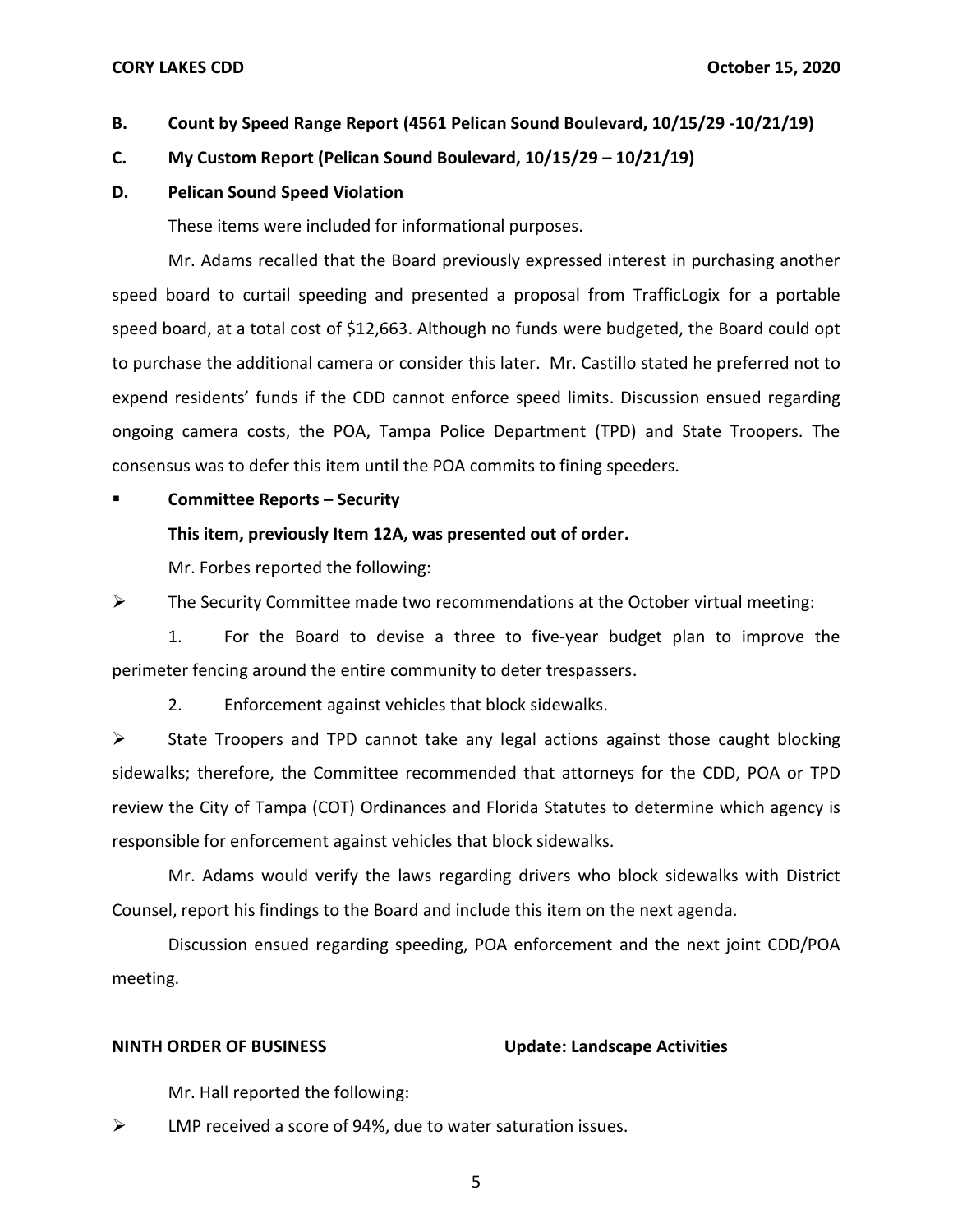### **CORY LAKES CDD CORY LAKES CDD October 15, 2020**

# **B. Count by Speed Range Report (4561 Pelican Sound Boulevard, 10/15/29 -10/21/19)**

### **C. My Custom Report (Pelican Sound Boulevard, 10/15/29 – 10/21/19)**

### **D. Pelican Sound Speed Violation**

These items were included for informational purposes.

 Mr. Adams recalled that the Board previously expressed interest in purchasing another speed board to curtail speeding and presented a proposal from TrafficLogix for a portable speed board, at a total cost of \$12,663. Although no funds were budgeted, the Board could opt to purchase the additional camera or consider this later. Mr. Castillo stated he preferred not to expend residents' funds if the CDD cannot enforce speed limits. Discussion ensued regarding ongoing camera costs, the POA, Tampa Police Department (TPD) and State Troopers. The consensus was to defer this item until the POA commits to fining speeders.

### ▪ **Committee Reports – Security**

### **This item, previously Item 12A, was presented out of order.**

Mr. Forbes reported the following:

 $\triangleright$  The Security Committee made two recommendations at the October virtual meeting:

 1. For the Board to devise a three to five-year budget plan to improve the perimeter fencing around the entire community to deter trespassers.

2. Enforcement against vehicles that block sidewalks.

 ➢ State Troopers and TPD cannot take any legal actions against those caught blocking review the City of Tampa (COT) Ordinances and Florida Statutes to determine which agency is responsible for enforcement against vehicles that block sidewalks. sidewalks; therefore, the Committee recommended that attorneys for the CDD, POA or TPD

 Mr. Adams would verify the laws regarding drivers who block sidewalks with District Counsel, report his findings to the Board and include this item on the next agenda.

 Discussion ensued regarding speeding, POA enforcement and the next joint CDD/POA meeting.

### **NINTH ORDER OF BUSINESS Update: Landscape Activities**

Mr. Hall reported the following:

 $\triangleright$  LMP received a score of 94%, due to water saturation issues.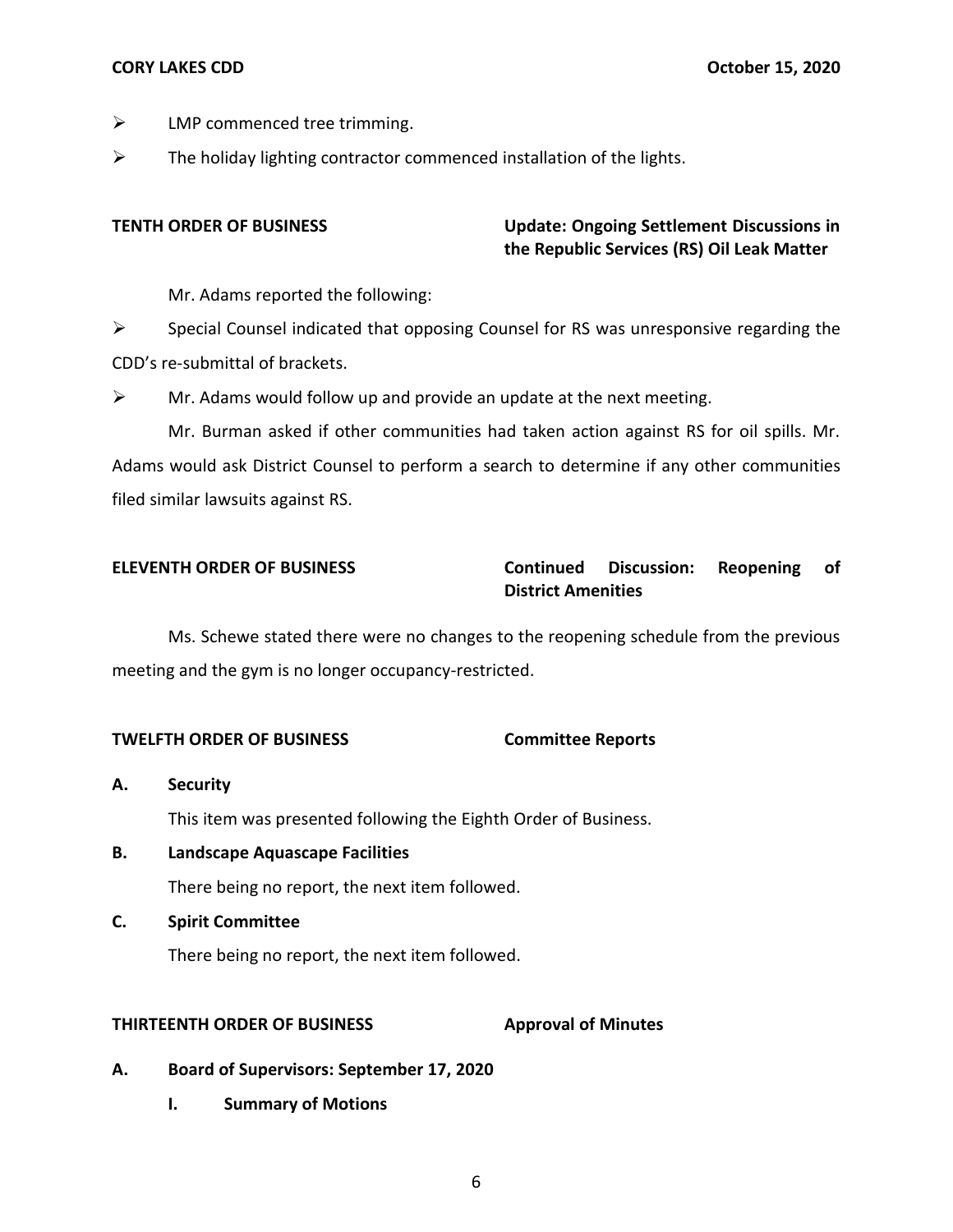- $\triangleright$  LMP commenced tree trimming.
- $\triangleright$  The holiday lighting contractor commenced installation of the lights.

# **TENTH ORDER OF BUSINESS Update: Ongoing Settlement Discussions in the Republic Services (RS) Oil Leak Matter**

Mr. Adams reported the following:

 $\triangleright$  Special Counsel indicated that opposing Counsel for RS was unresponsive regarding the CDD's re-submittal of brackets.

 $\triangleright$  Mr. Adams would follow up and provide an update at the next meeting.

 Mr. Burman asked if other communities had taken action against RS for oil spills. Mr. Adams would ask District Counsel to perform a search to determine if any other communities filed similar lawsuits against RS.

# **ELEVENTH ORDER OF BUSINESS Continued Discussion: Reopening of District Amenities**

 Ms. Schewe stated there were no changes to the reopening schedule from the previous meeting and the gym is no longer occupancy-restricted.

# **TWELFTH ORDER OF BUSINESS Committee Reports**

- This item was presented following the Eighth Order of Business. **A. Security**
- There being no report, the next item followed. **B. Landscape Aquascape Facilities**
- **C. Spirit Committee**

There being no report, the next item followed.

### **Approval of Minutes THIRTEENTH ORDER OF BUSINESS**

- **A. Board of Supervisors: September 17, 2020** 
	- **I. Summary of Motions**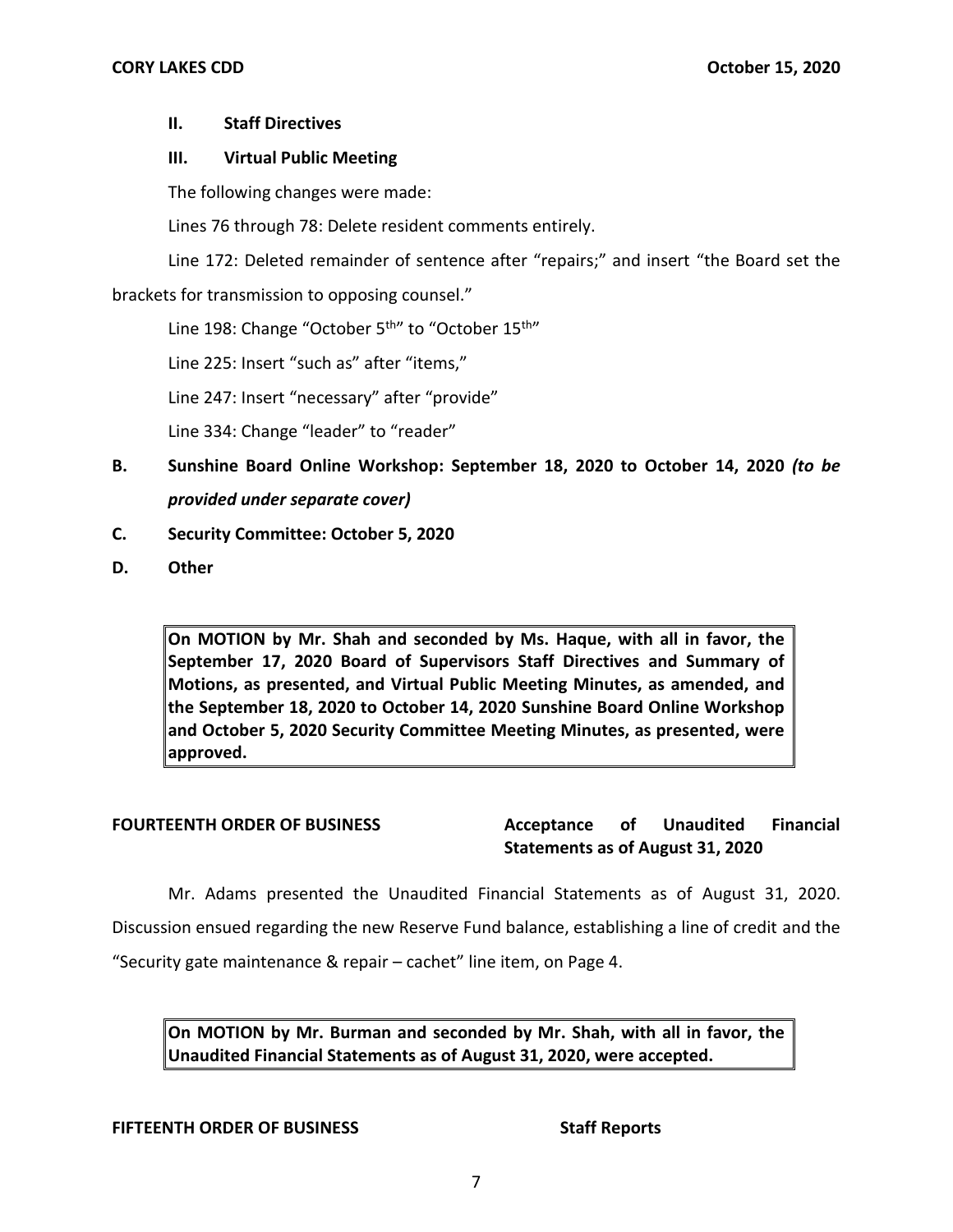# **II. Staff Directives**

# **III. Virtual Public Meeting**

The following changes were made:

Lines 76 through 78: Delete resident comments entirely.

 Line 172: Deleted remainder of sentence after "repairs;" and insert "the Board set the brackets for transmission to opposing counsel."

Line 198: Change "October 5<sup>th</sup>" to "October 15<sup>th"</sup>

Line 225: Insert "such as" after "items,"

Line 247: Insert "necessary" after "provide"

Line 334: Change "leader" to "reader"

- **B. Sunshine Board Online Workshop: September 18, 2020 to October 14, 2020** *(to be provided under separate cover)*
- **C. Security Committee: October 5, 2020**
- **D. Other**

 **On MOTION by Mr. Shah and seconded by Ms. Haque, with all in favor, the September 17, 2020 Board of Supervisors Staff Directives and Summary of Motions, as presented, and Virtual Public Meeting Minutes, as amended, and the September 18, 2020 to October 14, 2020 Sunshine Board Online Workshop and October 5, 2020 Security Committee Meeting Minutes, as presented, were approved.** 

**FOURTEENTH ORDER OF BUSINESS Acceptance of Unaudited Financial Statements as of August 31, 2020** 

 Mr. Adams presented the Unaudited Financial Statements as of August 31, 2020. Discussion ensued regarding the new Reserve Fund balance, establishing a line of credit and the "Security gate maintenance & repair – cachet" line item, on Page 4.

 **On MOTION by Mr. Burman and seconded by Mr. Shah, with all in favor, the Unaudited Financial Statements as of August 31, 2020, were accepted.** 

# **FIFTEENTH ORDER OF BUSINESS** Staff Reports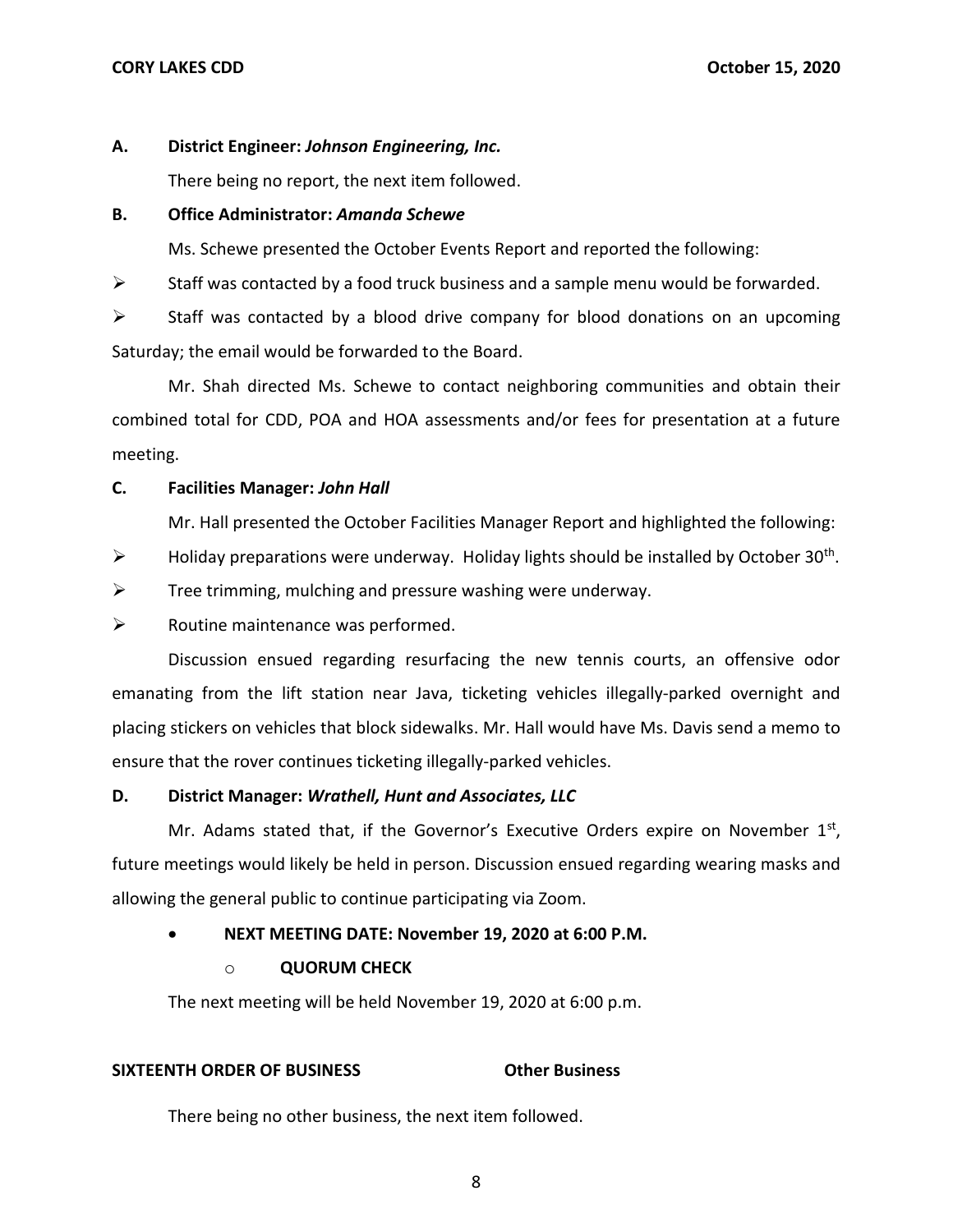## **A. District Engineer:** *Johnson Engineering, Inc.*

There being no report, the next item followed.

# **B. Office Administrator:** *Amanda Schewe*

Ms. Schewe presented the October Events Report and reported the following:

 $\triangleright$  Staff was contacted by a food truck business and a sample menu would be forwarded.

 $\triangleright$  Staff was contacted by a blood drive company for blood donations on an upcoming Saturday; the email would be forwarded to the Board.

 Mr. Shah directed Ms. Schewe to contact neighboring communities and obtain their combined total for CDD, POA and HOA assessments and/or fees for presentation at a future meeting.

# **C. Facilities Manager:** *John Hall*

Mr. Hall presented the October Facilities Manager Report and highlighted the following:

- $\triangleright$  Holiday preparations were underway. Holiday lights should be installed by October 30<sup>th</sup>.
- $\triangleright$  Tree trimming, mulching and pressure washing were underway.
- $\triangleright$  Routine maintenance was performed.

 emanating from the lift station near Java, ticketing vehicles illegally-parked overnight and placing stickers on vehicles that block sidewalks. Mr. Hall would have Ms. Davis send a memo to Discussion ensued regarding resurfacing the new tennis courts, an offensive odor ensure that the rover continues ticketing illegally-parked vehicles.

# **D. District Manager:** *Wrathell, Hunt and Associates, LLC*

Mr. Adams stated that, if the Governor's Executive Orders expire on November  $1<sup>st</sup>$ , future meetings would likely be held in person. Discussion ensued regarding wearing masks and allowing the general public to continue participating via Zoom.

# • **NEXT MEETING DATE: November 19, 2020 at 6:00 P.M.**

# o **QUORUM CHECK**

The next meeting will be held November 19, 2020 at 6:00 p.m.

# **SIXTEENTH ORDER OF BUSINESS CORPORATION OTHER BUSINESS**

There being no other business, the next item followed.<br>8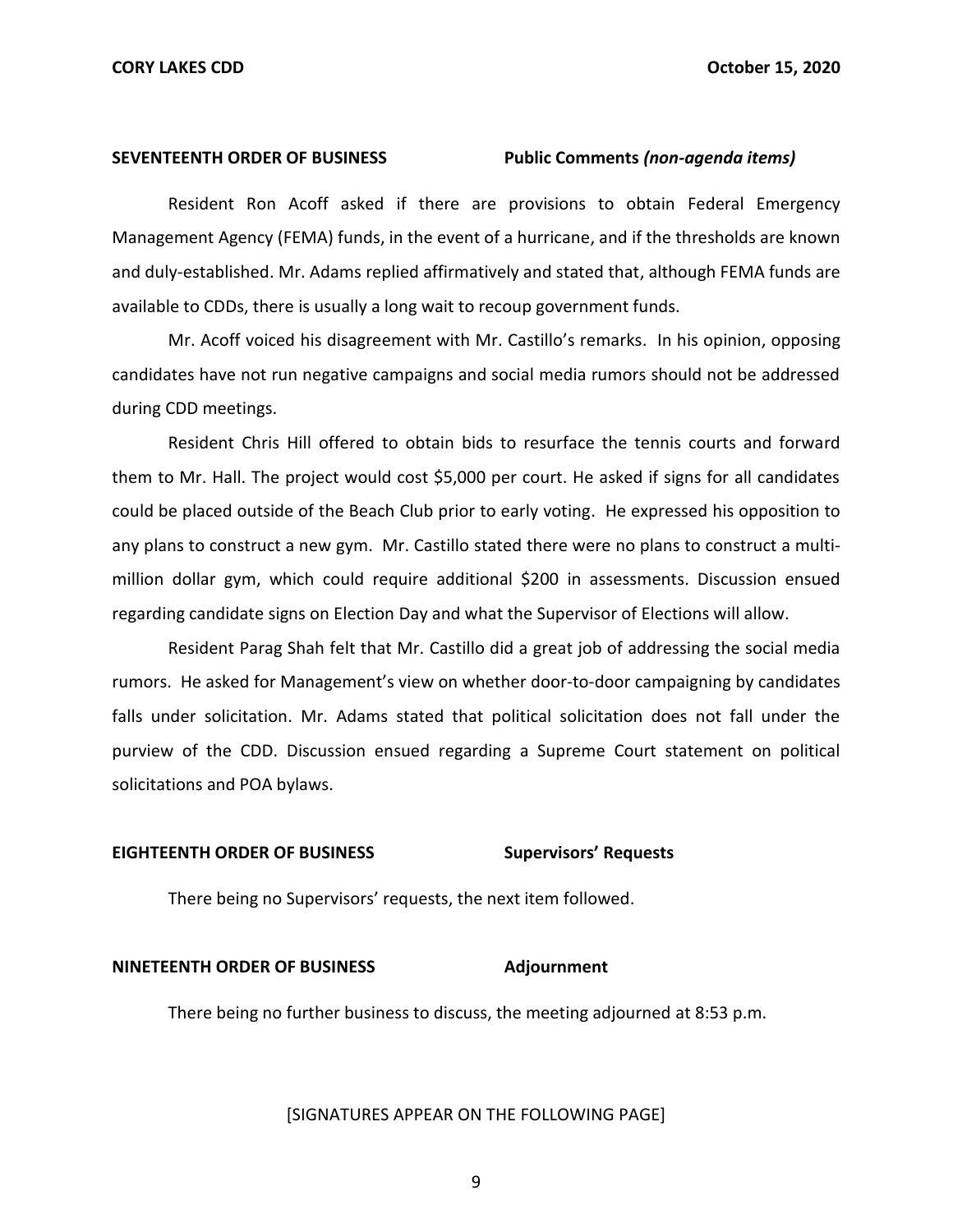**SEVENTEENTH ORDER OF BUSINESS Public Comments** *(non-agenda items)* 

 Resident Ron Acoff asked if there are provisions to obtain Federal Emergency Management Agency (FEMA) funds, in the event of a hurricane, and if the thresholds are known and duly-established. Mr. Adams replied affirmatively and stated that, although FEMA funds are available to CDDs, there is usually a long wait to recoup government funds.

 Mr. Acoff voiced his disagreement with Mr. Castillo's remarks. In his opinion, opposing candidates have not run negative campaigns and social media rumors should not be addressed during CDD meetings.

 Resident Chris Hill offered to obtain bids to resurface the tennis courts and forward them to Mr. Hall. The project would cost \$5,000 per court. He asked if signs for all candidates could be placed outside of the Beach Club prior to early voting. He expressed his opposition to any plans to construct a new gym. Mr. Castillo stated there were no plans to construct a multi- million dollar gym, which could require additional \$200 in assessments. Discussion ensued regarding candidate signs on Election Day and what the Supervisor of Elections will allow.

 Resident Parag Shah felt that Mr. Castillo did a great job of addressing the social media rumors. He asked for Management's view on whether door-to-door campaigning by candidates falls under solicitation. Mr. Adams stated that political solicitation does not fall under the purview of the CDD. Discussion ensued regarding a Supreme Court statement on political solicitations and POA bylaws.

### **EIGHTEENTH ORDER OF BUSINESS Supervisors' Requests**

There being no Supervisors' requests, the next item followed.

### **NINETEENTH ORDER OF BUSINESS Adjournment**

There being no further business to discuss, the meeting adjourned at 8:53 p.m.

### [SIGNATURES APPEAR ON THE FOLLOWING PAGE]